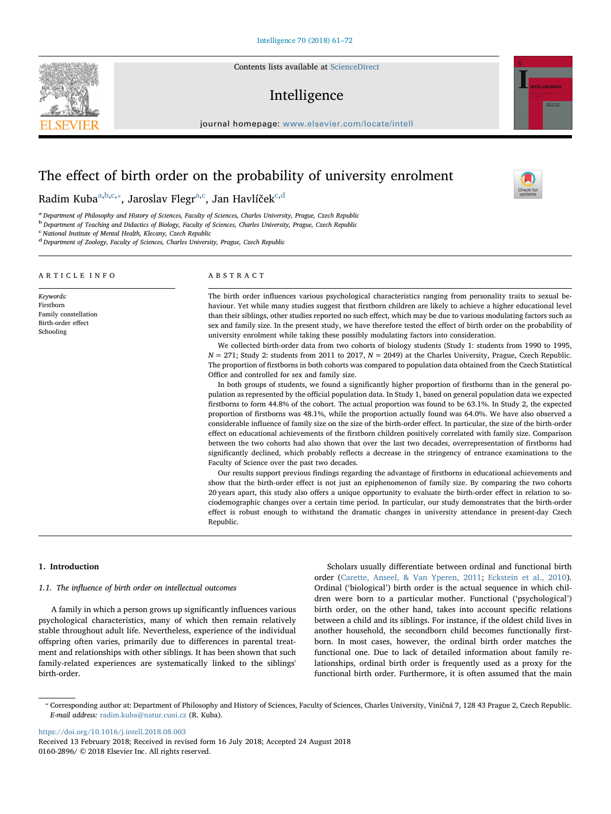Contents lists available at [ScienceDirect](http://www.sciencedirect.com/science/journal/01602896)

# Intelligence

journal homepage: [www.elsevier.com/locate/intell](https://www.elsevier.com/locate/intell)

# The effect of birth order on the probability of university enrolment

R[a](#page-0-0)dim Ku[b](#page-0-1)a<sup>a,b[,c](#page-0-2),</sup>\*, Jaroslav Flegr<sup>[a,](#page-0-0)[c](#page-0-2)</sup>, Jan Havlíček<sup>[c,](#page-0-2)[d](#page-0-4)</sup>

<span id="page-0-0"></span>a Department of Philosophy and History of Sciences, Faculty of Sciences, Charles University, Prague, Czech Republic

<span id="page-0-1"></span><sup>b</sup> Department of Teaching and Didactics of Biology, Faculty of Sciences, Charles University, Prague, Czech Republic

<span id="page-0-2"></span><sup>c</sup> National Institute of Mental Health, Klecany, Czech Republic

<span id="page-0-4"></span><sup>d</sup> Department of Zoology, Faculty of Sciences, Charles University, Prague, Czech Republic

## ARTICLE INFO

Keywords: Firstborn Family constellation Birth-order effect Schooling

## ABSTRACT

The birth order influences various psychological characteristics ranging from personality traits to sexual behaviour. Yet while many studies suggest that firstborn children are likely to achieve a higher educational level than their siblings, other studies reported no such effect, which may be due to various modulating factors such as sex and family size. In the present study, we have therefore tested the effect of birth order on the probability of university enrolment while taking these possibly modulating factors into consideration.

We collected birth-order data from two cohorts of biology students (Study 1: students from 1990 to 1995,  $N = 271$ ; Study 2: students from 2011 to 2017,  $N = 2049$ ) at the Charles University, Prague, Czech Republic. The proportion of firstborns in both cohorts was compared to population data obtained from the Czech Statistical Office and controlled for sex and family size.

In both groups of students, we found a significantly higher proportion of firstborns than in the general population as represented by the official population data. In Study 1, based on general population data we expected firstborns to form 44.8% of the cohort. The actual proportion was found to be 63.1%. In Study 2, the expected proportion of firstborns was 48.1%, while the proportion actually found was 64.0%. We have also observed a considerable influence of family size on the size of the birth-order effect. In particular, the size of the birth-order effect on educational achievements of the firstborn children positively correlated with family size. Comparison between the two cohorts had also shown that over the last two decades, overrepresentation of firstborns had significantly declined, which probably reflects a decrease in the stringency of entrance examinations to the Faculty of Science over the past two decades.

Our results support previous findings regarding the advantage of firstborns in educational achievements and show that the birth-order effect is not just an epiphenomenon of family size. By comparing the two cohorts 20 years apart, this study also offers a unique opportunity to evaluate the birth-order effect in relation to sociodemographic changes over a certain time period. In particular, our study demonstrates that the birth-order effect is robust enough to withstand the dramatic changes in university attendance in present-day Czech Republic.

## 1. Introduction

## 1.1. The influence of birth order on intellectual outcomes

A family in which a person grows up significantly influences various psychological characteristics, many of which then remain relatively stable throughout adult life. Nevertheless, experience of the individual offspring often varies, primarily due to differences in parental treatment and relationships with other siblings. It has been shown that such family-related experiences are systematically linked to the siblings' birth-order.

Scholars usually differentiate between ordinal and functional birth order ([Carette, Anseel, & Van Yperen, 2011;](#page-10-0) [Eckstein et al., 2010](#page-10-1)). Ordinal ('biological') birth order is the actual sequence in which children were born to a particular mother. Functional ('psychological') birth order, on the other hand, takes into account specific relations between a child and its siblings. For instance, if the oldest child lives in another household, the secondborn child becomes functionally firstborn. In most cases, however, the ordinal birth order matches the functional one. Due to lack of detailed information about family relationships, ordinal birth order is frequently used as a proxy for the functional birth order. Furthermore, it is often assumed that the main

<https://doi.org/10.1016/j.intell.2018.08.003>







<span id="page-0-3"></span><sup>⁎</sup> Corresponding author at: Department of Philosophy and History of Sciences, Faculty of Sciences, Charles University, Viničná 7, 128 43 Prague 2, Czech Republic. E-mail address: [radim.kuba@natur.cuni.cz](mailto:radim.kuba@natur.cuni.cz) (R. Kuba).

Received 13 February 2018; Received in revised form 16 July 2018; Accepted 24 August 2018 0160-2896/ © 2018 Elsevier Inc. All rights reserved.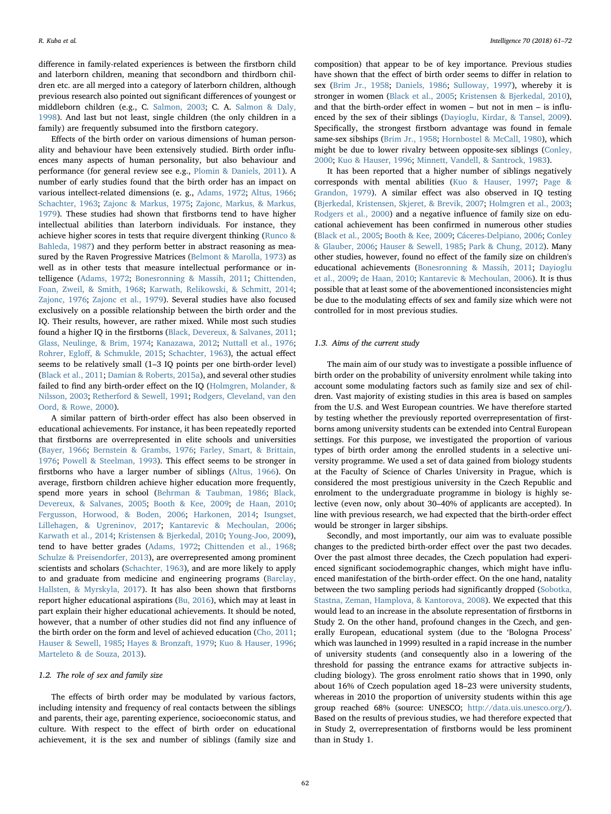difference in family-related experiences is between the firstborn child and laterborn children, meaning that secondborn and thirdborn children etc. are all merged into a category of laterborn children, although previous research also pointed out significant differences of youngest or middleborn children (e.g., C. [Salmon, 2003](#page-11-0); C. A. [Salmon & Daly,](#page-11-1) [1998\)](#page-11-1). And last but not least, single children (the only children in a family) are frequently subsumed into the firstborn category.

Effects of the birth order on various dimensions of human personality and behaviour have been extensively studied. Birth order influences many aspects of human personality, but also behaviour and performance (for general review see e.g., [Plomin & Daniels, 2011](#page-11-2)). A number of early studies found that the birth order has an impact on various intellect-related dimensions (e. g., [Adams, 1972;](#page-10-2) [Altus, 1966](#page-10-3); [Schachter, 1963](#page-11-3); [Zajonc & Markus, 1975;](#page-11-4) [Zajonc, Markus, & Markus,](#page-11-5) [1979\)](#page-11-5). These studies had shown that firstborns tend to have higher intellectual abilities than laterborn individuals. For instance, they achieve higher scores in tests that require divergent thinking [\(Runco &](#page-11-6) [Bahleda, 1987\)](#page-11-6) and they perform better in abstract reasoning as measured by the Raven Progressive Matrices [\(Belmont & Marolla, 1973](#page-10-4)) as well as in other tests that measure intellectual performance or intelligence [\(Adams, 1972](#page-10-2); [Bonesronning & Massih, 2011;](#page-10-5) [Chittenden,](#page-10-6) [Foan, Zweil, & Smith, 1968](#page-10-6); [Karwath, Relikowski, & Schmitt, 2014](#page-10-7); [Zajonc, 1976;](#page-11-7) [Zajonc et al., 1979](#page-11-5)). Several studies have also focused exclusively on a possible relationship between the birth order and the IQ. Their results, however, are rather mixed. While most such studies found a higher IQ in the firstborns [\(Black, Devereux, & Salvanes, 2011](#page-10-8); [Glass, Neulinge, & Brim, 1974](#page-10-9); [Kanazawa, 2012;](#page-10-10) [Nuttall et al., 1976](#page-11-8); Rohrer, Egloff[, & Schmukle, 2015](#page-11-9); [Schachter, 1963](#page-11-3)), the actual effect seems to be relatively small (1–3 IQ points per one birth-order level) ([Black et al., 2011](#page-10-8); [Damian & Roberts, 2015a\)](#page-10-11), and several other studies failed to find any birth-order effect on the IQ ([Holmgren, Molander, &](#page-10-12) [Nilsson, 2003;](#page-10-12) [Retherford & Sewell, 1991;](#page-11-10) [Rodgers, Cleveland, van den](#page-11-11) [Oord, & Rowe, 2000](#page-11-11)).

A similar pattern of birth-order effect has also been observed in educational achievements. For instance, it has been repeatedly reported that firstborns are overrepresented in elite schools and universities ([Bayer, 1966;](#page-10-13) [Bernstein & Grambs, 1976;](#page-10-14) [Farley, Smart, & Brittain,](#page-10-15) [1976;](#page-10-15) [Powell & Steelman, 1993](#page-11-12)). This effect seems to be stronger in firstborns who have a larger number of siblings [\(Altus, 1966\)](#page-10-3). On average, firstborn children achieve higher education more frequently, spend more years in school [\(Behrman & Taubman, 1986;](#page-10-16) [Black,](#page-10-17) [Devereux, & Salvanes, 2005](#page-10-17); [Booth & Kee, 2009](#page-10-18); [de Haan, 2010](#page-10-19); [Fergusson, Horwood, & Boden, 2006](#page-10-20); [Harkonen, 2014;](#page-10-21) [Isungset,](#page-10-22) [Lillehagen, & Ugreninov, 2017](#page-10-22); [Kantarevic & Mechoulan, 2006](#page-10-23); [Karwath et al., 2014](#page-10-7); [Kristensen & Bjerkedal, 2010](#page-10-24); [Young-Joo, 2009](#page-11-13)), tend to have better grades ([Adams, 1972](#page-10-2); [Chittenden et al., 1968](#page-10-6); [Schulze & Preisendorfer, 2013\)](#page-11-14), are overrepresented among prominent scientists and scholars ([Schachter, 1963](#page-11-3)), and are more likely to apply to and graduate from medicine and engineering programs [\(Barclay,](#page-10-25) [Hallsten, & Myrskyla, 2017](#page-10-25)). It has also been shown that firstborns report higher educational aspirations ([Bu, 2016\)](#page-10-26), which may at least in part explain their higher educational achievements. It should be noted, however, that a number of other studies did not find any influence of the birth order on the form and level of achieved education [\(Cho, 2011](#page-10-27); [Hauser & Sewell, 1985](#page-10-28); [Hayes & Bronzaft, 1979;](#page-10-29) [Kuo & Hauser, 1996](#page-10-30); [Marteleto & de Souza, 2013](#page-11-15)).

## 1.2. The role of sex and family size

The effects of birth order may be modulated by various factors, including intensity and frequency of real contacts between the siblings and parents, their age, parenting experience, socioeconomic status, and culture. With respect to the effect of birth order on educational achievement, it is the sex and number of siblings (family size and

composition) that appear to be of key importance. Previous studies have shown that the effect of birth order seems to differ in relation to sex ([Brim Jr., 1958;](#page-10-31) [Daniels, 1986](#page-10-32); [Sulloway, 1997](#page-11-16)), whereby it is stronger in women ([Black et al., 2005](#page-10-17); [Kristensen & Bjerkedal, 2010](#page-10-24)), and that the birth-order effect in women – but not in men – is influenced by the sex of their siblings [\(Dayioglu, Kirdar, & Tansel, 2009](#page-10-33)). Specifically, the strongest firstborn advantage was found in female same-sex sibships [\(Brim Jr., 1958](#page-10-31); [Hornbostel & McCall, 1980](#page-10-34)), which might be due to lower rivalry between opposite-sex siblings [\(Conley,](#page-10-35) [2000;](#page-10-35) [Kuo & Hauser, 1996;](#page-10-30) [Minnett, Vandell, & Santrock, 1983](#page-11-17)).

It has been reported that a higher number of siblings negatively corresponds with mental abilities ([Kuo & Hauser, 1997](#page-10-36); [Page &](#page-11-18) [Grandon, 1979](#page-11-18)). A similar effect was also observed in IQ testing ([Bjerkedal, Kristensen, Skjeret, & Brevik, 2007](#page-10-37); [Holmgren et al., 2003](#page-10-12); [Rodgers et al., 2000\)](#page-11-11) and a negative influence of family size on educational achievement has been confirmed in numerous other studies ([Black et al., 2005;](#page-10-17) [Booth & Kee, 2009](#page-10-18); [Cáceres-Delpiano, 2006;](#page-10-38) [Conley](#page-10-39) [& Glauber, 2006;](#page-10-39) [Hauser & Sewell, 1985](#page-10-28); [Park & Chung, 2012\)](#page-11-19). Many other studies, however, found no effect of the family size on children's educational achievements [\(Bonesronning & Massih, 2011](#page-10-5); [Dayioglu](#page-10-33) [et al., 2009](#page-10-33); [de Haan, 2010](#page-10-19); [Kantarevic & Mechoulan, 2006\)](#page-10-23). It is thus possible that at least some of the abovementioned inconsistencies might be due to the modulating effects of sex and family size which were not controlled for in most previous studies.

#### 1.3. Aims of the current study

The main aim of our study was to investigate a possible influence of birth order on the probability of university enrolment while taking into account some modulating factors such as family size and sex of children. Vast majority of existing studies in this area is based on samples from the U.S. and West European countries. We have therefore started by testing whether the previously reported overrepresentation of firstborns among university students can be extended into Central European settings. For this purpose, we investigated the proportion of various types of birth order among the enrolled students in a selective university programme. We used a set of data gained from biology students at the Faculty of Science of Charles University in Prague, which is considered the most prestigious university in the Czech Republic and enrolment to the undergraduate programme in biology is highly selective (even now, only about 30–40% of applicants are accepted). In line with previous research, we had expected that the birth-order effect would be stronger in larger sibships.

Secondly, and most importantly, our aim was to evaluate possible changes to the predicted birth-order effect over the past two decades. Over the past almost three decades, the Czech population had experienced significant sociodemographic changes, which might have influenced manifestation of the birth-order effect. On the one hand, natality between the two sampling periods had significantly dropped [\(Sobotka,](#page-11-20) [Stastna, Zeman, Hamplova, & Kantorova, 2008](#page-11-20)). We expected that this would lead to an increase in the absolute representation of firstborns in Study 2. On the other hand, profound changes in the Czech, and generally European, educational system (due to the 'Bologna Process' which was launched in 1999) resulted in a rapid increase in the number of university students (and consequently also in a lowering of the threshold for passing the entrance exams for attractive subjects including biology). The gross enrolment ratio shows that in 1990, only about 16% of Czech population aged 18–23 were university students, whereas in 2010 the proportion of university students within this age group reached 68% (source: UNESCO; [http://data.uis.unesco.org/](http://data.uis.unesco.org)). Based on the results of previous studies, we had therefore expected that in Study 2, overrepresentation of firstborns would be less prominent than in Study 1.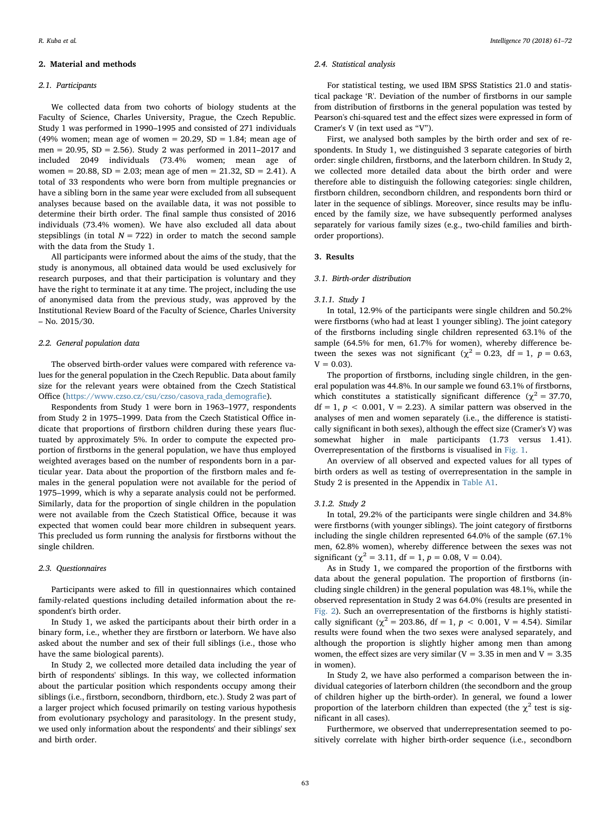## 2. Material and methods

#### 2.1. Participants

We collected data from two cohorts of biology students at the Faculty of Science, Charles University, Prague, the Czech Republic. Study 1 was performed in 1990–1995 and consisted of 271 individuals (49% women; mean age of women = 20.29,  $SD = 1.84$ ; mean age of men = 20.95,  $SD = 2.56$ ). Study 2 was performed in 2011–2017 and included 2049 individuals (73.4% women; mean age of women = 20.88,  $SD = 2.03$ ; mean age of men = 21.32,  $SD = 2.41$ ). A total of 33 respondents who were born from multiple pregnancies or have a sibling born in the same year were excluded from all subsequent analyses because based on the available data, it was not possible to determine their birth order. The final sample thus consisted of 2016 individuals (73.4% women). We have also excluded all data about stepsiblings (in total  $N = 722$ ) in order to match the second sample with the data from the Study 1.

All participants were informed about the aims of the study, that the study is anonymous, all obtained data would be used exclusively for research purposes, and that their participation is voluntary and they have the right to terminate it at any time. The project, including the use of anonymised data from the previous study, was approved by the Institutional Review Board of the Faculty of Science, Charles University – No. 2015/30.

#### 2.2. General population data

The observed birth-order values were compared with reference values for the general population in the Czech Republic. Data about family size for the relevant years were obtained from the Czech Statistical Office [\(https://www.czso.cz/csu/czso/casova\\_rada\\_demogra](https://www.czso.cz/csu/czso/casova_rada_demografie)fie).

Respondents from Study 1 were born in 1963–1977, respondents from Study 2 in 1975–1999. Data from the Czech Statistical Office indicate that proportions of firstborn children during these years fluctuated by approximately 5%. In order to compute the expected proportion of firstborns in the general population, we have thus employed weighted averages based on the number of respondents born in a particular year. Data about the proportion of the firstborn males and females in the general population were not available for the period of 1975–1999, which is why a separate analysis could not be performed. Similarly, data for the proportion of single children in the population were not available from the Czech Statistical Office, because it was expected that women could bear more children in subsequent years. This precluded us form running the analysis for firstborns without the single children.

#### 2.3. Questionnaires

Participants were asked to fill in questionnaires which contained family-related questions including detailed information about the respondent's birth order.

In Study 1, we asked the participants about their birth order in a binary form, i.e., whether they are firstborn or laterborn. We have also asked about the number and sex of their full siblings (i.e., those who have the same biological parents).

In Study 2, we collected more detailed data including the year of birth of respondents' siblings. In this way, we collected information about the particular position which respondents occupy among their siblings (i.e., firstborn, secondborn, thirdborn, etc.). Study 2 was part of a larger project which focused primarily on testing various hypothesis from evolutionary psychology and parasitology. In the present study, we used only information about the respondents' and their siblings' sex and birth order.

## 2.4. Statistical analysis

For statistical testing, we used IBM SPSS Statistics 21.0 and statistical package 'R'. Deviation of the number of firstborns in our sample from distribution of firstborns in the general population was tested by Pearson's chi-squared test and the effect sizes were expressed in form of Cramer's V (in text used as "V").

First, we analysed both samples by the birth order and sex of respondents. In Study 1, we distinguished 3 separate categories of birth order: single children, firstborns, and the laterborn children. In Study 2, we collected more detailed data about the birth order and were therefore able to distinguish the following categories: single children, firstborn children, secondborn children, and respondents born third or later in the sequence of siblings. Moreover, since results may be influenced by the family size, we have subsequently performed analyses separately for various family sizes (e.g., two-child families and birthorder proportions).

#### 3. Results

#### 3.1. Birth-order distribution

#### 3.1.1. Study 1

In total, 12.9% of the participants were single children and 50.2% were firstborns (who had at least 1 younger sibling). The joint category of the firstborns including single children represented 63.1% of the sample (64.5% for men, 61.7% for women), whereby difference between the sexes was not significant ( $\chi^2 = 0.23$ , df = 1, p = 0.63,  $V = 0.03$ ).

The proportion of firstborns, including single children, in the general population was 44.8%. In our sample we found 63.1% of firstborns, which constitutes a statistically significant difference ( $\chi^2$  = 37.70,  $df = 1$ ,  $p < 0.001$ ,  $V = 2.23$ ). A similar pattern was observed in the analyses of men and women separately (i.e., the difference is statistically significant in both sexes), although the effect size (Cramer's V) was somewhat higher in male participants (1.73 versus 1.41). Overrepresentation of the firstborns is visualised in [Fig. 1](#page-3-0).

An overview of all observed and expected values for all types of birth orders as well as testing of overrepresentation in the sample in Study 2 is presented in the Appendix in [Table A1](#page-8-0).

#### 3.1.2. Study 2

In total, 29.2% of the participants were single children and 34.8% were firstborns (with younger siblings). The joint category of firstborns including the single children represented 64.0% of the sample (67.1% men, 62.8% women), whereby difference between the sexes was not significant ( $\chi^2$  = 3.11, df = 1, p = 0.08, V = 0.04).

As in Study 1, we compared the proportion of the firstborns with data about the general population. The proportion of firstborns (including single children) in the general population was 48.1%, while the observed representation in Study 2 was 64.0% (results are presented in [Fig. 2](#page-3-1)). Such an overrepresentation of the firstborns is highly statistically significant ( $\chi^2$  = 203.86, df = 1, p < 0.001, V = 4.54). Similar results were found when the two sexes were analysed separately, and although the proportion is slightly higher among men than among women, the effect sizes are very similar ( $V = 3.35$  in men and  $V = 3.35$ in women).

In Study 2, we have also performed a comparison between the individual categories of laterborn children (the secondborn and the group of children higher up the birth-order). In general, we found a lower proportion of the laterborn children than expected (the  $\chi^2$  test is significant in all cases).

Furthermore, we observed that underrepresentation seemed to positively correlate with higher birth-order sequence (i.e., secondborn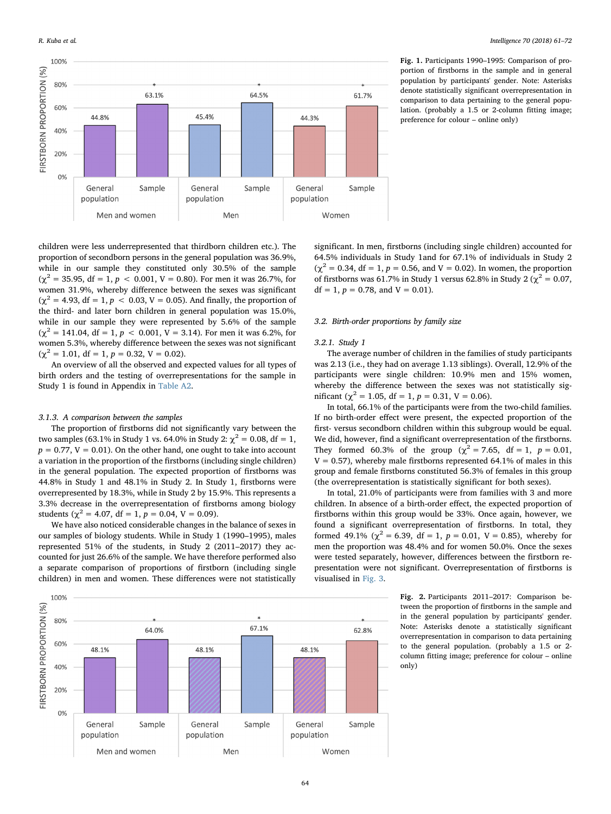<span id="page-3-0"></span>

Fig. 1. Participants 1990–1995: Comparison of proportion of firstborns in the sample and in general population by participants' gender. Note: Asterisks denote statistically significant overrepresentation in comparison to data pertaining to the general population. (probably a 1.5 or 2-column fitting image; preference for colour – online only)

children were less underrepresented that thirdborn children etc.). The proportion of secondborn persons in the general population was 36.9%, while in our sample they constituted only 30.5% of the sample  $(\gamma^2 = 35.95, df = 1, p < 0.001, V = 0.80)$ . For men it was 26.7%, for women 31.9%, whereby difference between the sexes was significant  $(\gamma^2 = 4.93, df = 1, p < 0.03, V = 0.05)$ . And finally, the proportion of the third- and later born children in general population was 15.0%, while in our sample they were represented by 5.6% of the sample  $(\chi^2 = 141.04, df = 1, p < 0.001, V = 3.14)$ . For men it was 6.2%, for women 5.3%, whereby difference between the sexes was not significant  $(\chi^2 = 1.01, df = 1, p = 0.32, V = 0.02).$ 

An overview of all the observed and expected values for all types of birth orders and the testing of overrepresentations for the sample in Study 1 is found in Appendix in [Table A2](#page-8-1).

## 3.1.3. A comparison between the samples

The proportion of firstborns did not significantly vary between the two samples (63.1% in Study 1 vs. 64.0% in Study 2:  $\chi^2 = 0.08$ , df = 1,  $p = 0.77$ ,  $V = 0.01$ ). On the other hand, one ought to take into account a variation in the proportion of the firstborns (including single children) in the general population. The expected proportion of firstborns was 44.8% in Study 1 and 48.1% in Study 2. In Study 1, firstborns were overrepresented by 18.3%, while in Study 2 by 15.9%. This represents a 3.3% decrease in the overrepresentation of firstborns among biology students ( $\chi^2$  = 4.07, df = 1,  $p$  = 0.04, V = 0.09).

We have also noticed considerable changes in the balance of sexes in our samples of biology students. While in Study 1 (1990–1995), males represented 51% of the students, in Study 2 (2011–2017) they accounted for just 26.6% of the sample. We have therefore performed also a separate comparison of proportions of firstborn (including single children) in men and women. These differences were not statistically



# 3.2. Birth-order proportions by family size

## 3.2.1. Study 1

The average number of children in the families of study participants was 2.13 (i.e., they had on average 1.13 siblings). Overall, 12.9% of the participants were single children: 10.9% men and 15% women, whereby the difference between the sexes was not statistically significant ( $\chi^2 = 1.05$ , df = 1, p = 0.31, V = 0.06).

In total, 66.1% of the participants were from the two-child families. If no birth-order effect were present, the expected proportion of the first- versus secondborn children within this subgroup would be equal. We did, however, find a significant overrepresentation of the firstborns. They formed 60.3% of the group ( $\chi^2 = 7.65$ , df = 1, p = 0.01,  $V = 0.57$ ), whereby male firstborns represented 64.1% of males in this group and female firstborns constituted 56.3% of females in this group (the overrepresentation is statistically significant for both sexes).

In total, 21.0% of participants were from families with 3 and more children. In absence of a birth-order effect, the expected proportion of firstborns within this group would be 33%. Once again, however, we found a significant overrepresentation of firstborns. In total, they formed 49.1% ( $\chi^2$  = 6.39, df = 1, p = 0.01, V = 0.85), whereby for men the proportion was 48.4% and for women 50.0%. Once the sexes were tested separately, however, differences between the firstborn representation were not significant. Overrepresentation of firstborns is visualised in [Fig. 3.](#page-4-0)

> Fig. 2. Participants 2011–2017: Comparison between the proportion of firstborns in the sample and in the general population by participants' gender. Note: Asterisks denote a statistically significant overrepresentation in comparison to data pertaining to the general population. (probably a 1.5 or 2 column fitting image; preference for colour – online only)

<span id="page-3-1"></span>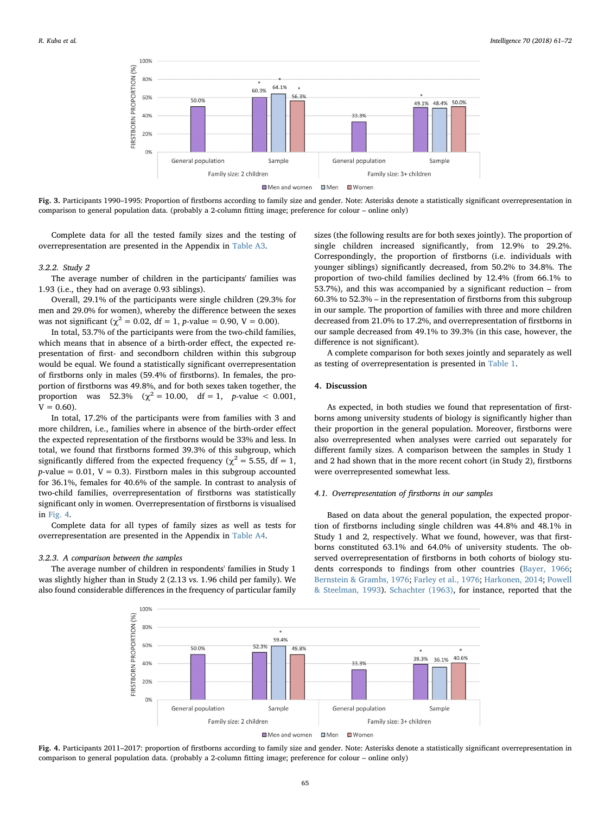<span id="page-4-0"></span>

Fig. 3. Participants 1990–1995: Proportion of firstborns according to family size and gender. Note: Asterisks denote a statistically significant overrepresentation in comparison to general population data. (probably a 2-column fitting image; preference for colour – online only)

Complete data for all the tested family sizes and the testing of overrepresentation are presented in the Appendix in [Table A3.](#page-9-0)

#### 3.2.2. Study 2

The average number of children in the participants' families was 1.93 (i.e., they had on average 0.93 siblings).

Overall, 29.1% of the participants were single children (29.3% for men and 29.0% for women), whereby the difference between the sexes was not significant ( $\chi^2 = 0.02$ , df = 1, p-value = 0.90, V = 0.00).

In total, 53.7% of the participants were from the two-child families, which means that in absence of a birth-order effect, the expected representation of first- and secondborn children within this subgroup would be equal. We found a statistically significant overrepresentation of firstborns only in males (59.4% of firstborns). In females, the proportion of firstborns was 49.8%, and for both sexes taken together, the proportion was 52.3% ( $\chi^2 = 10.00$ , df = 1, p-value < 0.001,  $V = 0.60$ ).

In total, 17.2% of the participants were from families with 3 and more children, i.e., families where in absence of the birth-order effect the expected representation of the firstborns would be 33% and less. In total, we found that firstborns formed 39.3% of this subgroup, which significantly differed from the expected frequency ( $\chi^2$  = 5.55, df = 1,  $p$ -value = 0.01, V = 0.3). Firstborn males in this subgroup accounted for 36.1%, females for 40.6% of the sample. In contrast to analysis of two-child families, overrepresentation of firstborns was statistically significant only in women. Overrepresentation of firstborns is visualised in [Fig. 4](#page-4-1).

Complete data for all types of family sizes as well as tests for overrepresentation are presented in the Appendix in [Table A4.](#page-9-1)

# 3.2.3. A comparison between the samples

<span id="page-4-1"></span>The average number of children in respondents' families in Study 1 was slightly higher than in Study 2 (2.13 vs. 1.96 child per family). We also found considerable differences in the frequency of particular family sizes (the following results are for both sexes jointly). The proportion of single children increased significantly, from 12.9% to 29.2%. Correspondingly, the proportion of firstborns (i.e. individuals with younger siblings) significantly decreased, from 50.2% to 34.8%. The proportion of two-child families declined by 12.4% (from 66.1% to 53.7%), and this was accompanied by a significant reduction – from 60.3% to 52.3% – in the representation of firstborns from this subgroup in our sample. The proportion of families with three and more children decreased from 21.0% to 17.2%, and overrepresentation of firstborns in our sample decreased from 49.1% to 39.3% (in this case, however, the difference is not significant).

A complete comparison for both sexes jointly and separately as well as testing of overrepresentation is presented in [Table 1.](#page-5-0)

## 4. Discussion

As expected, in both studies we found that representation of firstborns among university students of biology is significantly higher than their proportion in the general population. Moreover, firstborns were also overrepresented when analyses were carried out separately for different family sizes. A comparison between the samples in Study 1 and 2 had shown that in the more recent cohort (in Study 2), firstborns were overrepresented somewhat less.

## 4.1. Overrepresentation of firstborns in our samples

Based on data about the general population, the expected proportion of firstborns including single children was 44.8% and 48.1% in Study 1 and 2, respectively. What we found, however, was that firstborns constituted 63.1% and 64.0% of university students. The observed overrepresentation of firstborns in both cohorts of biology students corresponds to findings from other countries ([Bayer, 1966](#page-10-13); [Bernstein & Grambs, 1976](#page-10-14); [Farley et al., 1976;](#page-10-15) [Harkonen, 2014](#page-10-21); [Powell](#page-11-12) & [Steelman, 1993\)](#page-11-12). [Schachter \(1963\),](#page-11-3) for instance, reported that the



Fig. 4. Participants 2011–2017: proportion of firstborns according to family size and gender. Note: Asterisks denote a statistically significant overrepresentation in comparison to general population data. (probably a 2-column fitting image; preference for colour – online only)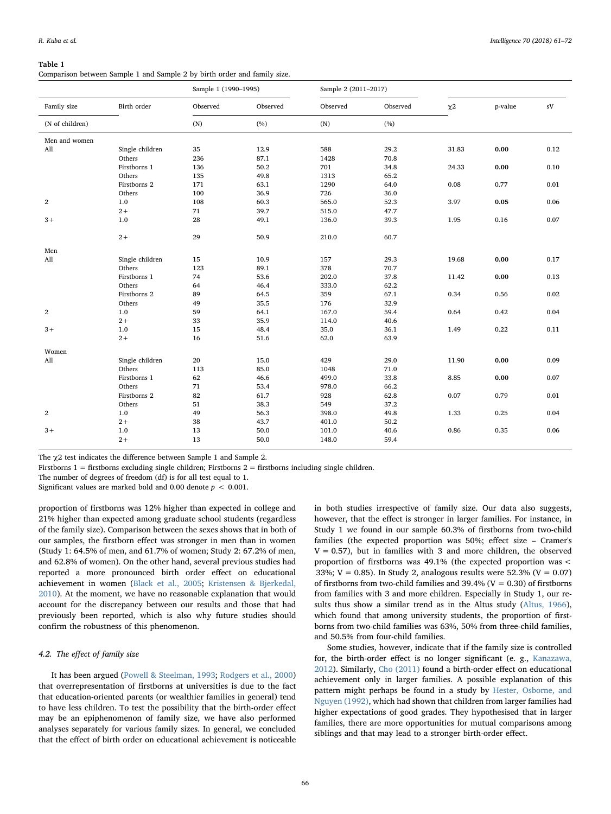#### <span id="page-5-0"></span>Table 1

Comparison between Sample 1 and Sample 2 by birth order and family size.

|                 |                 | Sample 1 (1990-1995) |          | Sample 2 (2011-2017) |          |                     |         |      |
|-----------------|-----------------|----------------------|----------|----------------------|----------|---------------------|---------|------|
| Family size     | Birth order     | Observed             | Observed | Observed             | Observed | $\chi$ <sup>2</sup> | p-value | sV   |
| (N of children) |                 | (N)                  | (%)      | (N)                  | (%)      |                     |         |      |
| Men and women   |                 |                      |          |                      |          |                     |         |      |
| All             | Single children | 35                   | 12.9     | 588                  | 29.2     | 31.83               | 0.00    | 0.12 |
|                 | Others          | 236                  | 87.1     | 1428                 | 70.8     |                     |         |      |
|                 | Firstborns 1    | 136                  | 50.2     | 701                  | 34.8     | 24.33               | 0.00    | 0.10 |
|                 | Others          | 135                  | 49.8     | 1313                 | 65.2     |                     |         |      |
|                 | Firstborns 2    | 171                  | 63.1     | 1290                 | 64.0     | 0.08                | 0.77    | 0.01 |
|                 | Others          | 100                  | 36.9     | 726                  | 36.0     |                     |         |      |
| $\mathbf{2}$    | 1.0             | 108                  | 60.3     | 565.0                | 52.3     | 3.97                | 0.05    | 0.06 |
|                 | $2+$            | 71                   | 39.7     | 515.0                | 47.7     |                     |         |      |
| $3+$            | 1.0             | 28                   | 49.1     | 136.0                | 39.3     | 1.95                | 0.16    | 0.07 |
|                 | $2+$            | 29                   | 50.9     | 210.0                | 60.7     |                     |         |      |
| Men             |                 |                      |          |                      |          |                     |         |      |
| All             | Single children | 15                   | 10.9     | 157                  | 29.3     | 19.68               | 0.00    | 0.17 |
|                 | Others          | 123                  | 89.1     | 378                  | 70.7     |                     |         |      |
|                 | Firstborns 1    | 74                   | 53.6     | 202.0                | 37.8     | 11.42               | 0.00    | 0.13 |
|                 | Others          | 64                   | 46.4     | 333.0                | 62.2     |                     |         |      |
|                 | Firstborns 2    | 89                   | 64.5     | 359                  | 67.1     | 0.34                | 0.56    | 0.02 |
|                 | Others          | 49                   | 35.5     | 176                  | 32.9     |                     |         |      |
| $\mathbf{2}$    | 1.0             | 59                   | 64.1     | 167.0                | 59.4     | 0.64                | 0.42    | 0.04 |
|                 | $2+$            | 33                   | 35.9     | 114.0                | 40.6     |                     |         |      |
| $3+$            | 1.0             | 15                   | 48.4     | 35.0                 | 36.1     | 1.49                | 0.22    | 0.11 |
|                 | $2+$            | 16                   | 51.6     | 62.0                 | 63.9     |                     |         |      |
| Women           |                 |                      |          |                      |          |                     |         |      |
| All             | Single children | 20                   | 15.0     | 429                  | 29.0     | 11.90               | 0.00    | 0.09 |
|                 | Others          | 113                  | 85.0     | 1048                 | 71.0     |                     |         |      |
|                 | Firstborns 1    | 62                   | 46.6     | 499.0                | 33.8     | 8.85                | 0.00    | 0.07 |
|                 | Others          | 71                   | 53.4     | 978.0                | 66.2     |                     |         |      |
|                 | Firstborns 2    | 82                   | 61.7     | 928                  | 62.8     | 0.07                | 0.79    | 0.01 |
|                 | Others          | 51                   | 38.3     | 549                  | 37.2     |                     |         |      |
| $\overline{2}$  | 1.0             | 49                   | 56.3     | 398.0                | 49.8     | 1.33                | 0.25    | 0.04 |
|                 | $2+$            | 38                   | 43.7     | 401.0                | 50.2     |                     |         |      |
| $3+$            | 1.0             | 13                   | 50.0     | 101.0                | 40.6     | 0.86                | 0.35    | 0.06 |
|                 | $2+$            | 13                   | 50.0     | 148.0                | 59.4     |                     |         |      |
|                 |                 |                      |          |                      |          |                     |         |      |

The χ2 test indicates the difference between Sample 1 and Sample 2.

Firstborns 1 = firstborns excluding single children; Firstborns 2 = firstborns including single children.

The number of degrees of freedom (df) is for all test equal to 1.

Significant values are marked bold and 0.00 denote  $p < 0.001$ .

proportion of firstborns was 12% higher than expected in college and 21% higher than expected among graduate school students (regardless of the family size). Comparison between the sexes shows that in both of our samples, the firstborn effect was stronger in men than in women (Study 1: 64.5% of men, and 61.7% of women; Study 2: 67.2% of men, and 62.8% of women). On the other hand, several previous studies had reported a more pronounced birth order effect on educational achievement in women [\(Black et al., 2005;](#page-10-17) [Kristensen & Bjerkedal,](#page-10-24) [2010\)](#page-10-24). At the moment, we have no reasonable explanation that would account for the discrepancy between our results and those that had previously been reported, which is also why future studies should confirm the robustness of this phenomenon.

# 4.2. The effect of family size

It has been argued ([Powell & Steelman, 1993;](#page-11-12) [Rodgers et al., 2000\)](#page-11-11) that overrepresentation of firstborns at universities is due to the fact that education-oriented parents (or wealthier families in general) tend to have less children. To test the possibility that the birth-order effect may be an epiphenomenon of family size, we have also performed analyses separately for various family sizes. In general, we concluded that the effect of birth order on educational achievement is noticeable in both studies irrespective of family size. Our data also suggests, however, that the effect is stronger in larger families. For instance, in Study 1 we found in our sample 60.3% of firstborns from two-child families (the expected proportion was 50%; effect size – Cramer's  $V = 0.57$ ), but in families with 3 and more children, the observed proportion of firstborns was 49.1% (the expected proportion was < 33%;  $V = 0.85$ ). In Study 2, analogous results were 52.3% ( $V = 0.07$ ) of firstborns from two-child families and 39.4% ( $V = 0.30$ ) of firstborns from families with 3 and more children. Especially in Study 1, our results thus show a similar trend as in the Altus study [\(Altus, 1966](#page-10-3)), which found that among university students, the proportion of firstborns from two-child families was 63%, 50% from three-child families, and 50.5% from four-child families.

Some studies, however, indicate that if the family size is controlled for, the birth-order effect is no longer significant (e. g., [Kanazawa,](#page-10-10) [2012\)](#page-10-10). Similarly, [Cho \(2011\)](#page-10-27) found a birth-order effect on educational achievement only in larger families. A possible explanation of this pattern might perhaps be found in a study by [Hester, Osborne, and](#page-10-40) [Nguyen \(1992\),](#page-10-40) which had shown that children from larger families had higher expectations of good grades. They hypothesised that in larger families, there are more opportunities for mutual comparisons among siblings and that may lead to a stronger birth-order effect.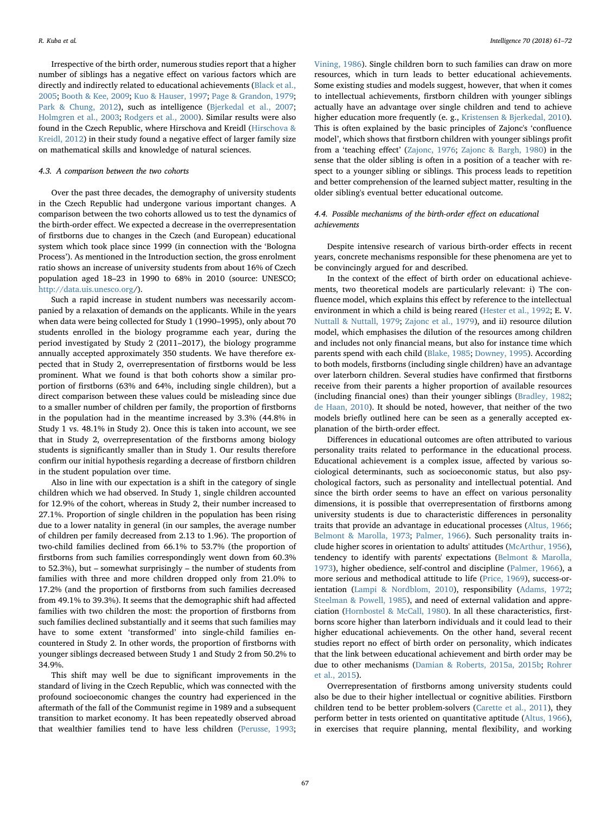Irrespective of the birth order, numerous studies report that a higher number of siblings has a negative effect on various factors which are directly and indirectly related to educational achievements [\(Black et al.,](#page-10-17) [2005;](#page-10-17) [Booth & Kee, 2009](#page-10-18); [Kuo & Hauser, 1997](#page-10-36); [Page & Grandon, 1979](#page-11-18); [Park & Chung, 2012](#page-11-19)), such as intelligence ([Bjerkedal et al., 2007](#page-10-37); [Holmgren et al., 2003](#page-10-12); [Rodgers et al., 2000](#page-11-11)). Similar results were also found in the Czech Republic, where Hirschova and Kreidl [\(Hirschova &](#page-10-41) [Kreidl, 2012](#page-10-41)) in their study found a negative effect of larger family size on mathematical skills and knowledge of natural sciences.

# 4.3. A comparison between the two cohorts

Over the past three decades, the demography of university students in the Czech Republic had undergone various important changes. A comparison between the two cohorts allowed us to test the dynamics of the birth-order effect. We expected a decrease in the overrepresentation of firstborns due to changes in the Czech (and European) educational system which took place since 1999 (in connection with the 'Bologna Process'). As mentioned in the Introduction section, the gross enrolment ratio shows an increase of university students from about 16% of Czech population aged 18–23 in 1990 to 68% in 2010 (source: UNESCO; <http://data.uis.unesco.org>/).

Such a rapid increase in student numbers was necessarily accompanied by a relaxation of demands on the applicants. While in the years when data were being collected for Study 1 (1990–1995), only about 70 students enrolled in the biology programme each year, during the period investigated by Study 2 (2011–2017), the biology programme annually accepted approximately 350 students. We have therefore expected that in Study 2, overrepresentation of firstborns would be less prominent. What we found is that both cohorts show a similar proportion of firstborns (63% and 64%, including single children), but a direct comparison between these values could be misleading since due to a smaller number of children per family, the proportion of firstborns in the population had in the meantime increased by 3.3% (44.8% in Study 1 vs. 48.1% in Study 2). Once this is taken into account, we see that in Study 2, overrepresentation of the firstborns among biology students is significantly smaller than in Study 1. Our results therefore confirm our initial hypothesis regarding a decrease of firstborn children in the student population over time.

Also in line with our expectation is a shift in the category of single children which we had observed. In Study 1, single children accounted for 12.9% of the cohort, whereas in Study 2, their number increased to 27.1%. Proportion of single children in the population has been rising due to a lower natality in general (in our samples, the average number of children per family decreased from 2.13 to 1.96). The proportion of two-child families declined from 66.1% to 53.7% (the proportion of firstborns from such families correspondingly went down from 60.3% to 52.3%), but – somewhat surprisingly – the number of students from families with three and more children dropped only from 21.0% to 17.2% (and the proportion of firstborns from such families decreased from 49.1% to 39.3%). It seems that the demographic shift had affected families with two children the most: the proportion of firstborns from such families declined substantially and it seems that such families may have to some extent 'transformed' into single-child families encountered in Study 2. In other words, the proportion of firstborns with younger siblings decreased between Study 1 and Study 2 from 50.2% to 34.9%.

This shift may well be due to significant improvements in the standard of living in the Czech Republic, which was connected with the profound socioeconomic changes the country had experienced in the aftermath of the fall of the Communist regime in 1989 and a subsequent transition to market economy. It has been repeatedly observed abroad that wealthier families tend to have less children [\(Perusse, 1993](#page-11-21);

[Vining, 1986\)](#page-11-22). Single children born to such families can draw on more resources, which in turn leads to better educational achievements. Some existing studies and models suggest, however, that when it comes to intellectual achievements, firstborn children with younger siblings actually have an advantage over single children and tend to achieve higher education more frequently (e. g., [Kristensen & Bjerkedal, 2010](#page-10-24)). This is often explained by the basic principles of Zajonc's 'confluence model', which shows that firstborn children with younger siblings profit from a 'teaching effect' [\(Zajonc, 1976](#page-11-7); [Zajonc & Bargh, 1980\)](#page-11-23) in the sense that the older sibling is often in a position of a teacher with respect to a younger sibling or siblings. This process leads to repetition and better comprehension of the learned subject matter, resulting in the older sibling's eventual better educational outcome.

# 4.4. Possible mechanisms of the birth-order effect on educational achievements

Despite intensive research of various birth-order effects in recent years, concrete mechanisms responsible for these phenomena are yet to be convincingly argued for and described.

In the context of the effect of birth order on educational achievements, two theoretical models are particularly relevant: i) The confluence model, which explains this effect by reference to the intellectual environment in which a child is being reared [\(Hester et al., 1992](#page-10-40); E. V. [Nuttall & Nuttall, 1979;](#page-11-24) [Zajonc et al., 1979\)](#page-11-5), and ii) resource dilution model, which emphasises the dilution of the resources among children and includes not only financial means, but also for instance time which parents spend with each child ([Blake, 1985;](#page-10-42) [Downey, 1995](#page-10-43)). According to both models, firstborns (including single children) have an advantage over laterborn children. Several studies have confirmed that firstborns receive from their parents a higher proportion of available resources (including financial ones) than their younger siblings [\(Bradley, 1982](#page-10-44); [de Haan, 2010\)](#page-10-19). It should be noted, however, that neither of the two models briefly outlined here can be seen as a generally accepted explanation of the birth-order effect.

Differences in educational outcomes are often attributed to various personality traits related to performance in the educational process. Educational achievement is a complex issue, affected by various sociological determinants, such as socioeconomic status, but also psychological factors, such as personality and intellectual potential. And since the birth order seems to have an effect on various personality dimensions, it is possible that overrepresentation of firstborns among university students is due to characteristic differences in personality traits that provide an advantage in educational processes ([Altus, 1966](#page-10-3); [Belmont & Marolla, 1973;](#page-10-4) [Palmer, 1966](#page-11-25)). Such personality traits include higher scores in orientation to adults' attitudes [\(McArthur, 1956](#page-11-26)), tendency to identify with parents' expectations ([Belmont & Marolla,](#page-10-4) [1973\)](#page-10-4), higher obedience, self-control and discipline ([Palmer, 1966](#page-11-25)), a more serious and methodical attitude to life ([Price, 1969\)](#page-11-27), success-orientation ([Lampi & Nordblom, 2010](#page-11-28)), responsibility ([Adams, 1972](#page-10-2); [Steelman & Powell, 1985\)](#page-11-29), and need of external validation and appreciation ([Hornbostel & McCall, 1980](#page-10-34)). In all these characteristics, firstborns score higher than laterborn individuals and it could lead to their higher educational achievements. On the other hand, several recent studies report no effect of birth order on personality, which indicates that the link between educational achievement and birth order may be due to other mechanisms [\(Damian & Roberts, 2015a, 2015b;](#page-10-11) [Rohrer](#page-11-9) [et al., 2015](#page-11-9)).

Overrepresentation of firstborns among university students could also be due to their higher intellectual or cognitive abilities. Firstborn children tend to be better problem-solvers [\(Carette et al., 2011](#page-10-0)), they perform better in tests oriented on quantitative aptitude ([Altus, 1966](#page-10-3)), in exercises that require planning, mental flexibility, and working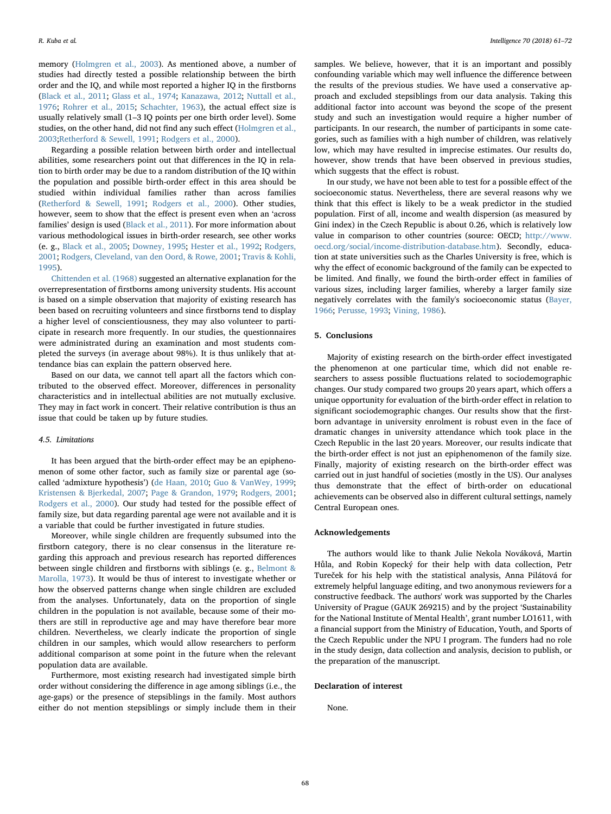memory [\(Holmgren et al., 2003\)](#page-10-12). As mentioned above, a number of studies had directly tested a possible relationship between the birth order and the IQ, and while most reported a higher IQ in the firstborns ([Black et al., 2011](#page-10-8); [Glass et al., 1974;](#page-10-9) [Kanazawa, 2012;](#page-10-10) [Nuttall et al.,](#page-11-8) [1976;](#page-11-8) [Rohrer et al., 2015](#page-11-9); [Schachter, 1963](#page-11-3)), the actual effect size is usually relatively small (1–3 IQ points per one birth order level). Some studies, on the other hand, did not find any such effect [\(Holmgren et al.,](#page-10-12) [2003;](#page-10-12)[Retherford & Sewell, 1991](#page-11-10); [Rodgers et al., 2000](#page-11-11)).

Regarding a possible relation between birth order and intellectual abilities, some researchers point out that differences in the IQ in relation to birth order may be due to a random distribution of the IQ within the population and possible birth-order effect in this area should be studied within individual families rather than across families ([Retherford & Sewell, 1991;](#page-11-10) [Rodgers et al., 2000](#page-11-11)). Other studies, however, seem to show that the effect is present even when an 'across families' design is used ([Black et al., 2011\)](#page-10-8). For more information about various methodological issues in birth-order research, see other works (e. g., [Black et al., 2005](#page-10-17); [Downey, 1995](#page-10-43); [Hester et al., 1992;](#page-10-40) [Rodgers,](#page-11-30) [2001;](#page-11-30) [Rodgers, Cleveland, van den Oord, & Rowe, 2001](#page-11-31); [Travis & Kohli,](#page-11-32) [1995\)](#page-11-32).

[Chittenden et al. \(1968\)](#page-10-6) suggested an alternative explanation for the overrepresentation of firstborns among university students. His account is based on a simple observation that majority of existing research has been based on recruiting volunteers and since firstborns tend to display a higher level of conscientiousness, they may also volunteer to participate in research more frequently. In our studies, the questionnaires were administrated during an examination and most students completed the surveys (in average about 98%). It is thus unlikely that attendance bias can explain the pattern observed here.

Based on our data, we cannot tell apart all the factors which contributed to the observed effect. Moreover, differences in personality characteristics and in intellectual abilities are not mutually exclusive. They may in fact work in concert. Their relative contribution is thus an issue that could be taken up by future studies.

## 4.5. Limitations

It has been argued that the birth-order effect may be an epiphenomenon of some other factor, such as family size or parental age (socalled 'admixture hypothesis') ([de Haan, 2010](#page-10-19); [Guo & VanWey, 1999](#page-10-45); [Kristensen & Bjerkedal, 2007](#page-10-46); [Page & Grandon, 1979;](#page-11-18) [Rodgers, 2001](#page-11-30); [Rodgers et al., 2000](#page-11-11)). Our study had tested for the possible effect of family size, but data regarding parental age were not available and it is a variable that could be further investigated in future studies.

Moreover, while single children are frequently subsumed into the firstborn category, there is no clear consensus in the literature regarding this approach and previous research has reported differences between single children and firstborns with siblings (e. g., [Belmont &](#page-10-4) [Marolla, 1973](#page-10-4)). It would be thus of interest to investigate whether or how the observed patterns change when single children are excluded from the analyses. Unfortunately, data on the proportion of single children in the population is not available, because some of their mothers are still in reproductive age and may have therefore bear more children. Nevertheless, we clearly indicate the proportion of single children in our samples, which would allow researchers to perform additional comparison at some point in the future when the relevant population data are available.

Furthermore, most existing research had investigated simple birth order without considering the difference in age among siblings (i.e., the age-gaps) or the presence of stepsiblings in the family. Most authors either do not mention stepsiblings or simply include them in their

samples. We believe, however, that it is an important and possibly confounding variable which may well influence the difference between the results of the previous studies. We have used a conservative approach and excluded stepsiblings from our data analysis. Taking this additional factor into account was beyond the scope of the present study and such an investigation would require a higher number of participants. In our research, the number of participants in some categories, such as families with a high number of children, was relatively low, which may have resulted in imprecise estimates. Our results do, however, show trends that have been observed in previous studies, which suggests that the effect is robust.

In our study, we have not been able to test for a possible effect of the socioeconomic status. Nevertheless, there are several reasons why we think that this effect is likely to be a weak predictor in the studied population. First of all, income and wealth dispersion (as measured by Gini index) in the Czech Republic is about 0.26, which is relatively low value in comparison to other countries (source: OECD; [http://www.](http://www.oecd.org/social/income-distribution-database.htm) [oecd.org/social/income-distribution-database.htm\)](http://www.oecd.org/social/income-distribution-database.htm). Secondly, education at state universities such as the Charles University is free, which is why the effect of economic background of the family can be expected to be limited. And finally, we found the birth-order effect in families of various sizes, including larger families, whereby a larger family size negatively correlates with the family's socioeconomic status [\(Bayer,](#page-10-13) [1966;](#page-10-13) [Perusse, 1993;](#page-11-21) [Vining, 1986\)](#page-11-22).

#### 5. Conclusions

Majority of existing research on the birth-order effect investigated the phenomenon at one particular time, which did not enable researchers to assess possible fluctuations related to sociodemographic changes. Our study compared two groups 20 years apart, which offers a unique opportunity for evaluation of the birth-order effect in relation to significant sociodemographic changes. Our results show that the firstborn advantage in university enrolment is robust even in the face of dramatic changes in university attendance which took place in the Czech Republic in the last 20 years. Moreover, our results indicate that the birth-order effect is not just an epiphenomenon of the family size. Finally, majority of existing research on the birth-order effect was carried out in just handful of societies (mostly in the US). Our analyses thus demonstrate that the effect of birth-order on educational achievements can be observed also in different cultural settings, namely Central European ones.

## Acknowledgements

The authors would like to thank Julie Nekola Nováková, Martin Hůla, and Robin Kopecký for their help with data collection, Petr Tureček for his help with the statistical analysis, Anna Pilátová for extremely helpful language editing, and two anonymous reviewers for a constructive feedback. The authors' work was supported by the Charles University of Prague (GAUK 269215) and by the project 'Sustainability for the National Institute of Mental Health', grant number LO1611, with a financial support from the Ministry of Education, Youth, and Sports of the Czech Republic under the NPU I program. The funders had no role in the study design, data collection and analysis, decision to publish, or the preparation of the manuscript.

## Declaration of interest

None.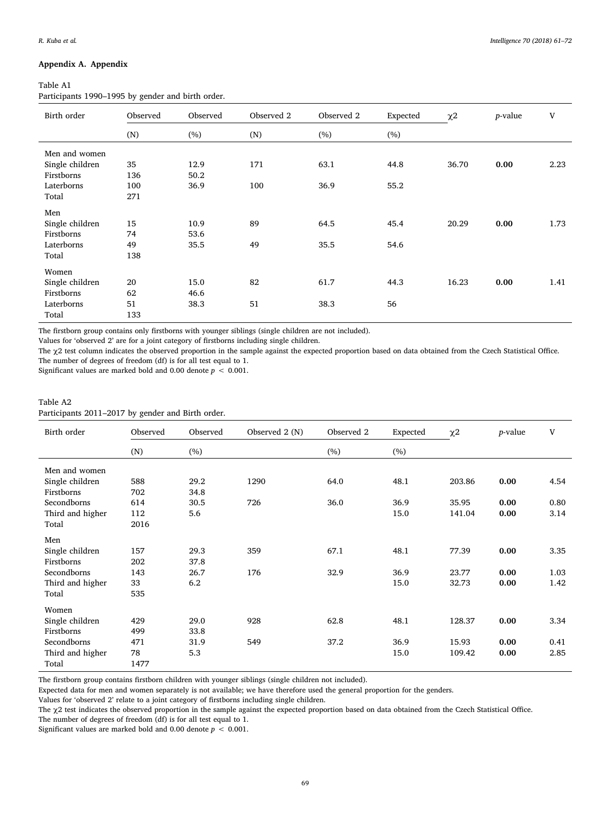# Appendix A. Appendix

## <span id="page-8-0"></span>Table A1

Participants 1990–1995 by gender and birth order.

| Birth order     | Observed | Observed | Observed 2 | Observed 2 | Expected | $\chi2$ | $p$ -value | V    |
|-----------------|----------|----------|------------|------------|----------|---------|------------|------|
|                 | (N)      | (%)      | (N)        | (%)        | (%)      |         |            |      |
| Men and women   |          |          |            |            |          |         |            |      |
| Single children | 35       | 12.9     | 171        | 63.1       | 44.8     | 36.70   | 0.00       | 2.23 |
| Firstborns      | 136      | 50.2     |            |            |          |         |            |      |
| Laterborns      | 100      | 36.9     | 100        | 36.9       | 55.2     |         |            |      |
| Total           | 271      |          |            |            |          |         |            |      |
| Men             |          |          |            |            |          |         |            |      |
| Single children | 15       | 10.9     | 89         | 64.5       | 45.4     | 20.29   | 0.00       | 1.73 |
| Firstborns      | 74       | 53.6     |            |            |          |         |            |      |
| Laterborns      | 49       | 35.5     | 49         | 35.5       | 54.6     |         |            |      |
| Total           | 138      |          |            |            |          |         |            |      |
| Women           |          |          |            |            |          |         |            |      |
| Single children | 20       | 15.0     | 82         | 61.7       | 44.3     | 16.23   | 0.00       | 1.41 |
| Firstborns      | 62       | 46.6     |            |            |          |         |            |      |
| Laterborns      | 51       | 38.3     | 51         | 38.3       | 56       |         |            |      |
| Total           | 133      |          |            |            |          |         |            |      |

The firstborn group contains only firstborns with younger siblings (single children are not included).

Values for 'observed 2' are for a joint category of firstborns including single children.

The χ2 test column indicates the observed proportion in the sample against the expected proportion based on data obtained from the Czech Statistical Office. The number of degrees of freedom (df) is for all test equal to 1.

Significant values are marked bold and 0.00 denote  $p < 0.001$ .

# <span id="page-8-1"></span>Table A2 Participants 2011–2017 by gender and Birth order.

| Birth order      | Observed | Observed | Observed 2 (N) | Observed 2 | Expected | $\chi2$ | <i>p</i> -value | V    |
|------------------|----------|----------|----------------|------------|----------|---------|-----------------|------|
|                  | (N)      | (%)      |                | (%)        | (%)      |         |                 |      |
| Men and women    |          |          |                |            |          |         |                 |      |
| Single children  | 588      | 29.2     | 1290           | 64.0       | 48.1     | 203.86  | 0.00            | 4.54 |
| Firstborns       | 702      | 34.8     |                |            |          |         |                 |      |
| Secondborns      | 614      | 30.5     | 726            | 36.0       | 36.9     | 35.95   | 0.00            | 0.80 |
| Third and higher | 112      | 5.6      |                |            | 15.0     | 141.04  | 0.00            | 3.14 |
| Total            | 2016     |          |                |            |          |         |                 |      |
| Men              |          |          |                |            |          |         |                 |      |
| Single children  | 157      | 29.3     | 359            | 67.1       | 48.1     | 77.39   | 0.00            | 3.35 |
| Firstborns       | 202      | 37.8     |                |            |          |         |                 |      |
| Secondborns      | 143      | 26.7     | 176            | 32.9       | 36.9     | 23.77   | 0.00            | 1.03 |
| Third and higher | 33       | 6.2      |                |            | 15.0     | 32.73   | 0.00            | 1.42 |
| Total            | 535      |          |                |            |          |         |                 |      |
| Women            |          |          |                |            |          |         |                 |      |
| Single children  | 429      | 29.0     | 928            | 62.8       | 48.1     | 128.37  | 0.00            | 3.34 |
| Firstborns       | 499      | 33.8     |                |            |          |         |                 |      |
| Secondborns      | 471      | 31.9     | 549            | 37.2       | 36.9     | 15.93   | 0.00            | 0.41 |
| Third and higher | 78       | 5.3      |                |            | 15.0     | 109.42  | 0.00            | 2.85 |
| Total            | 1477     |          |                |            |          |         |                 |      |

The firstborn group contains firstborn children with younger siblings (single children not included).

Expected data for men and women separately is not available; we have therefore used the general proportion for the genders.

Values for 'observed 2' relate to a joint category of firstborns including single children.

The χ2 test indicates the observed proportion in the sample against the expected proportion based on data obtained from the Czech Statistical Office.

The number of degrees of freedom (df) is for all test equal to 1.

Significant values are marked bold and 0.00 denote  $p < 0.001$ .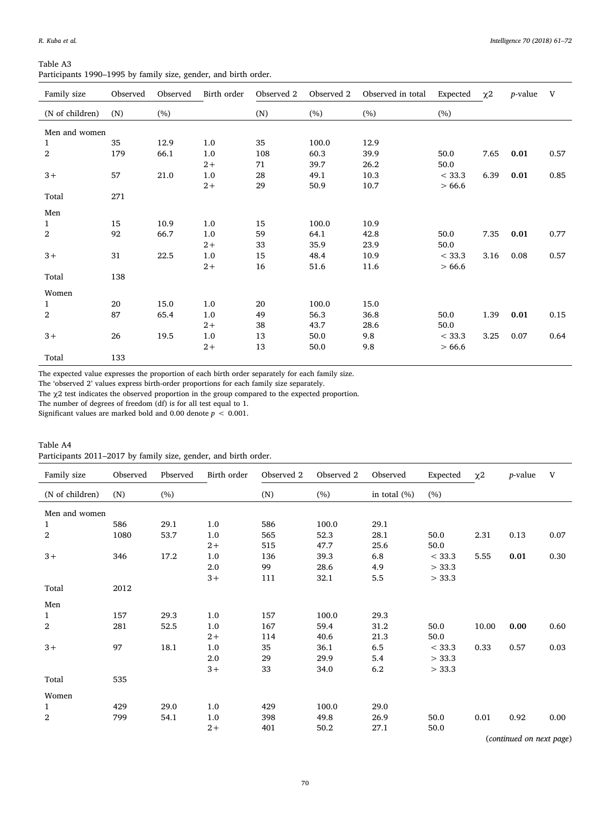<span id="page-9-0"></span>

| Table A3                                                        |  |  |  |  |
|-----------------------------------------------------------------|--|--|--|--|
| Participants 1990–1995 by family size, gender, and birth order. |  |  |  |  |

| Family size      | Observed | Observed | Birth order | Observed 2 | Observed 2 | Observed in total | Expected | $\chi$ <sup>2</sup> | <i>p</i> -value | V    |
|------------------|----------|----------|-------------|------------|------------|-------------------|----------|---------------------|-----------------|------|
| (N of children)  | (N)      | (%)      |             | (N)        | (%)        | (%)               | (%)      |                     |                 |      |
| Men and women    |          |          |             |            |            |                   |          |                     |                 |      |
| 1                | 35       | 12.9     | 1.0         | 35         | 100.0      | 12.9              |          |                     |                 |      |
| $\boldsymbol{2}$ | 179      | 66.1     | 1.0         | 108        | 60.3       | 39.9              | 50.0     | 7.65                | 0.01            | 0.57 |
|                  |          |          | $2+$        | 71         | 39.7       | 26.2              | 50.0     |                     |                 |      |
| $3+$             | 57       | 21.0     | $1.0\,$     | 28         | 49.1       | 10.3              | < 33.3   | 6.39                | 0.01            | 0.85 |
|                  |          |          | $2+$        | 29         | 50.9       | 10.7              | >66.6    |                     |                 |      |
| Total            | 271      |          |             |            |            |                   |          |                     |                 |      |
|                  |          |          |             |            |            |                   |          |                     |                 |      |
| Men              |          |          |             |            |            |                   |          |                     |                 |      |
| $\mathbf{1}$     | 15       | 10.9     | 1.0         | 15         | 100.0      | 10.9              |          |                     |                 |      |
| 2                | 92       | 66.7     | 1.0         | 59         | 64.1       | 42.8              | 50.0     | 7.35                | 0.01            | 0.77 |
|                  |          |          | $2+$        | 33         | 35.9       | 23.9              | 50.0     |                     |                 |      |
| $3+$             | 31       | 22.5     | $1.0\,$     | 15         | 48.4       | 10.9              | < 33.3   | 3.16                | 0.08            | 0.57 |
|                  |          |          | $2+$        | 16         | 51.6       | 11.6              | >66.6    |                     |                 |      |
| Total            | 138      |          |             |            |            |                   |          |                     |                 |      |
| Women            |          |          |             |            |            |                   |          |                     |                 |      |
| $\mathbf{1}$     | 20       | 15.0     | 1.0         | 20         | 100.0      | 15.0              |          |                     |                 |      |
| 2                | 87       | 65.4     | 1.0         | 49         | 56.3       | 36.8              | 50.0     | 1.39                | 0.01            | 0.15 |
|                  |          |          | $2+$        | 38         | 43.7       | 28.6              | 50.0     |                     |                 |      |
| $3+$             | 26       | 19.5     | 1.0         | 13         | 50.0       | 9.8               | < 33.3   | 3.25                | 0.07            | 0.64 |
|                  |          |          | $2+$        | 13         | 50.0       | 9.8               | >66.6    |                     |                 |      |
| Total            | 133      |          |             |            |            |                   |          |                     |                 |      |

The expected value expresses the proportion of each birth order separately for each family size.

The 'observed 2' values express birth-order proportions for each family size separately.

The χ2 test indicates the observed proportion in the group compared to the expected proportion.

The number of degrees of freedom (df) is for all test equal to 1.

Significant values are marked bold and 0.00 denote  $p < 0.001$ .

<span id="page-9-1"></span>

| Table A4                                                        |  |  |  |  |  |
|-----------------------------------------------------------------|--|--|--|--|--|
| Participants 2011–2017 by family size, gender, and birth order. |  |  |  |  |  |

| Family size     | Observed | Pbserved | Birth order | Observed 2 | Observed 2 | Observed        | Expected | $\chi$ <sup>2</sup> | <i>p</i> -value | V    |
|-----------------|----------|----------|-------------|------------|------------|-----------------|----------|---------------------|-----------------|------|
| (N of children) | (N)      | (%)      |             | (N)        | (%)        | in total $(\%)$ | (%)      |                     |                 |      |
| Men and women   |          |          |             |            |            |                 |          |                     |                 |      |
| 1               | 586      | 29.1     | 1.0         | 586        | 100.0      | 29.1            |          |                     |                 |      |
| $\overline{2}$  | 1080     | 53.7     | 1.0         | 565        | 52.3       | 28.1            | 50.0     | 2.31                | 0.13            | 0.07 |
|                 |          |          | $2+$        | 515        | 47.7       | 25.6            | 50.0     |                     |                 |      |
| $3+$            | 346      | 17.2     | 1.0         | 136        | 39.3       | 6.8             | < 33.3   | 5.55                | 0.01            | 0.30 |
|                 |          |          | 2.0         | 99         | 28.6       | 4.9             | > 33.3   |                     |                 |      |
|                 |          |          | $3+$        | 111        | 32.1       | 5.5             | > 33.3   |                     |                 |      |
| Total           | 2012     |          |             |            |            |                 |          |                     |                 |      |
| Men             |          |          |             |            |            |                 |          |                     |                 |      |
| 1               | 157      | 29.3     | 1.0         | 157        | 100.0      | 29.3            |          |                     |                 |      |
| $\overline{2}$  | 281      | 52.5     | 1.0         | 167        | 59.4       | 31.2            | 50.0     | 10.00               | 0.00            | 0.60 |
|                 |          |          | $2+$        | 114        | 40.6       | 21.3            | 50.0     |                     |                 |      |
| $3+$            | 97       | 18.1     | 1.0         | 35         | 36.1       | 6.5             | < 33.3   | 0.33                | 0.57            | 0.03 |
|                 |          |          | 2.0         | 29         | 29.9       | 5.4             | > 33.3   |                     |                 |      |
|                 |          |          | $3+$        | 33         | 34.0       | 6.2             | > 33.3   |                     |                 |      |
| Total           | 535      |          |             |            |            |                 |          |                     |                 |      |
| Women           |          |          |             |            |            |                 |          |                     |                 |      |
| 1               | 429      | 29.0     | 1.0         | 429        | 100.0      | 29.0            |          |                     |                 |      |
| $\overline{2}$  | 799      | 54.1     | 1.0         | 398        | 49.8       | 26.9            | 50.0     | 0.01                | 0.92            | 0.00 |
|                 |          |          | $2+$        | 401        | 50.2       | 27.1            | 50.0     |                     |                 |      |

(continued on next page)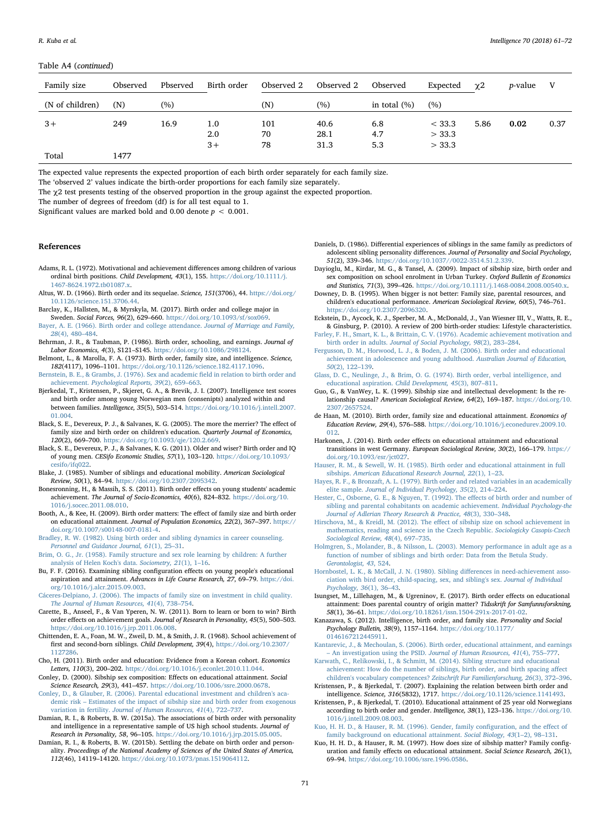#### Table A4 (continued)

| Family size     | Observed | Pbserved | Birth order | Observed 2 | Observed 2 | Observed        | Expected | $\chi$ <sup>2</sup> | <i>p</i> -value | V    |
|-----------------|----------|----------|-------------|------------|------------|-----------------|----------|---------------------|-----------------|------|
| (N of children) | (N)      | (%)      |             | (N)        | (%)        | in total $(\%)$ | (%)      |                     |                 |      |
| $3+$            | 249      | 16.9     | 1.0         | 101        | 40.6       | 6.8             | < 33.3   | 5.86                | 0.02            | 0.37 |
|                 |          |          | 2.0         | 70         | 28.1       | 4.7             | > 33.3   |                     |                 |      |
|                 |          |          | $3+$        | 78         | 31.3       | 5.3             | > 33.3   |                     |                 |      |
| Total           | 1477     |          |             |            |            |                 |          |                     |                 |      |

The expected value represents the expected proportion of each birth order separately for each family size.

The 'observed 2' values indicate the birth-order proportions for each family size separately.

The  $\chi$ 2 test presents testing of the observed proportion in the group against the expected proportion.

The number of degrees of freedom (df) is for all test equal to 1.

Significant values are marked bold and 0.00 denote  $p < 0.001$ .

## References

- <span id="page-10-2"></span>Adams, R. L. (1972). Motivational and achievement differences among children of various ordinal birth positions. Child Development, 43(1), 155. [https://doi.org/10.1111/j.](https://doi.org/10.1111/j.1467-8624.1972.tb01087.x) [1467-8624.1972.tb01087.x.](https://doi.org/10.1111/j.1467-8624.1972.tb01087.x)
- <span id="page-10-3"></span>Altus, W. D. (1966). Birth order and its sequelae. Science, 151(3706), 44. [https://doi.org/](https://doi.org/10.1126/science.151.3706.44) [10.1126/science.151.3706.44.](https://doi.org/10.1126/science.151.3706.44)
- <span id="page-10-25"></span>Barclay, K., Hallsten, M., & Myrskyla, M. (2017). Birth order and college major in Sweden. Social Forces, 96(2), 629–660. [https://doi.org/10.1093/sf/sox069.](https://doi.org/10.1093/sf/sox069)
- <span id="page-10-13"></span>[Bayer, A. E. \(1966\). Birth order and college attendance.](http://refhub.elsevier.com/S0160-2896(18)30036-9/rf0020) Journal of Marriage and Family, 28[\(4\), 480](http://refhub.elsevier.com/S0160-2896(18)30036-9/rf0020)–484.
- <span id="page-10-16"></span>Behrman, J. R., & Taubman, P. (1986). Birth order, schooling, and earnings. Journal of Labor Economics, 4(3), S121–S145. <https://doi.org/10.1086/298124>.
- <span id="page-10-4"></span>Belmont, L., & Marolla, F. A. (1973). Birth order, family size, and intelligence. Science, 182(4117), 1096–1101. [https://doi.org/10.1126/science.182.4117.1096.](https://doi.org/10.1126/science.182.4117.1096)
- <span id="page-10-14"></span>[Bernstein, B. E., & Grambs, J. \(1976\). Sex and academic](http://refhub.elsevier.com/S0160-2896(18)30036-9/rf0035) field in relation to birth order and achievement. [Psychological Reports, 39](http://refhub.elsevier.com/S0160-2896(18)30036-9/rf0035)(2), 659–663.
- <span id="page-10-37"></span>Bjerkedal, T., Kristensen, P., Skjeret, G. A., & Brevik, J. I. (2007). Intelligence test scores and birth order among young Norwegian men (consenipts) analyzed within and between families. Intelligence, 35(5), 503–514. [https://doi.org/10.1016/j.intell.2007.](https://doi.org/10.1016/j.intell.2007.01.004) [01.004](https://doi.org/10.1016/j.intell.2007.01.004).
- <span id="page-10-17"></span>Black, S. E., Devereux, P. J., & Salvanes, K. G. (2005). The more the merrier? The effect of family size and birth order on children's education. Quarterly Journal of Economics, 120(2), 669–700. <https://doi.org/10.1093/qje/120.2.669>.
- <span id="page-10-8"></span>Black, S. E., Devereux, P. J., & Salvanes, K. G. (2011). Older and wiser? Birth order and IQ of young men. CESifo Economic Studies, 57(1), 103–120. [https://doi.org/10.1093/](https://doi.org/10.1093/cesifo/ifq022) [cesifo/ifq022](https://doi.org/10.1093/cesifo/ifq022).
- <span id="page-10-42"></span>Blake, J. (1985). Number of siblings and educational mobility. American Sociological Review, 50(1), 84–94. [https://doi.org/10.2307/2095342.](https://doi.org/10.2307/2095342)
- <span id="page-10-5"></span>Bonesronning, H., & Massih, S. S. (2011). Birth order effects on young students' academic achievement. The Journal of Socio-Economics, 40(6), 824–832. [https://doi.org/10.](https://doi.org/10.1016/j.socec.2011.08.010) [1016/j.socec.2011.08.010](https://doi.org/10.1016/j.socec.2011.08.010).
- <span id="page-10-18"></span>Booth, A., & Kee, H. (2009). Birth order matters: The effect of family size and birth order on educational attainment. Journal of Population Economics, 22(2), 367–397. [https://](https://doi.org/10.1007/s00148-007-0181-4) [doi.org/10.1007/s00148-007-0181-4.](https://doi.org/10.1007/s00148-007-0181-4)
- <span id="page-10-44"></span>[Bradley, R. W. \(1982\). Using birth order and sibling dynamics in career counseling.](http://refhub.elsevier.com/S0160-2896(18)30036-9/rf0070) [Personnel and Guidance Journal, 61](http://refhub.elsevier.com/S0160-2896(18)30036-9/rf0070)(1), 25–31.
- <span id="page-10-31"></span>[Brim, O. G., Jr. \(1958\). Family structure and sex role learning by children: A further](http://refhub.elsevier.com/S0160-2896(18)30036-9/rf0075) [analysis of Helen Koch's data.](http://refhub.elsevier.com/S0160-2896(18)30036-9/rf0075) Sociometry, 21(1), 1–16.
- <span id="page-10-26"></span>Bu, F. F. (2016). Examining sibling configuration effects on young people's educational aspiration and attainment. Advances in Life Course Research, 27, 69–79. [https://doi.](https://doi.org/10.1016/j.alcr.2015.09.003) [org/10.1016/j.alcr.2015.09.003](https://doi.org/10.1016/j.alcr.2015.09.003).
- <span id="page-10-38"></span>[Cáceres-Delpiano, J. \(2006\). The impacts of family size on investment in child quality.](http://refhub.elsevier.com/S0160-2896(18)30036-9/rf0085) [The Journal of Human Resources, 41](http://refhub.elsevier.com/S0160-2896(18)30036-9/rf0085)(4), 738–754.
- <span id="page-10-0"></span>Carette, B., Anseel, F., & Van Yperen, N. W. (2011). Born to learn or born to win? Birth order effects on achievement goals. Journal of Research in Personality, 45(5), 500–503. [https://doi.org/10.1016/j.jrp.2011.06.008.](https://doi.org/10.1016/j.jrp.2011.06.008)
- <span id="page-10-6"></span>Chittenden, E. A., Foan, M. W., Zweil, D. M., & Smith, J. R. (1968). School achievement of first and second-born siblings. Child Development, 39(4), [https://doi.org/10.2307/](https://doi.org/10.2307/1127286) [1127286.](https://doi.org/10.2307/1127286)
- <span id="page-10-27"></span>Cho, H. (2011). Birth order and education: Evidence from a Korean cohort. Economics Letters, 110(3), 200–202. [https://doi.org/10.1016/j.econlet.2010.11.044.](https://doi.org/10.1016/j.econlet.2010.11.044)
- <span id="page-10-35"></span>Conley, D. (2000). Sibship sex composition: Effects on educational attainment. Social Science Research, 29(3), 441–457. [https://doi.org/10.1006/ssre.2000.0678.](https://doi.org/10.1006/ssre.2000.0678)
- <span id="page-10-39"></span>[Conley, D., & Glauber, R. \(2006\). Parental educational investment and children's aca](http://refhub.elsevier.com/S0160-2896(18)30036-9/rf0110)demic risk – [Estimates of the impact of sibship size and birth order from exogenous](http://refhub.elsevier.com/S0160-2896(18)30036-9/rf0110) variation in fertility. [Journal of Human Resources, 41](http://refhub.elsevier.com/S0160-2896(18)30036-9/rf0110)(4), 722–737.
- <span id="page-10-11"></span>Damian, R. I., & Roberts, B. W. (2015a). The associations of birth order with personality and intelligence in a representative sample of US high school students. Journal of Research in Personality, 58, 96–105. <https://doi.org/10.1016/j.jrp.2015.05.005>.
- Damian, R. I., & Roberts, B. W. (2015b). Settling the debate on birth order and personality. Proceedings of the National Academy of Sciences of the United States of America, 112(46), 14119–14120. [https://doi.org/10.1073/pnas.1519064112.](https://doi.org/10.1073/pnas.1519064112)
- <span id="page-10-32"></span>Daniels, D. (1986). Differential experiences of siblings in the same family as predictors of adolescent sibling personality differences. Journal of Personality and Social Psychology, 51(2), 339–346. <https://doi.org/10.1037//0022-3514.51.2.339>.
- <span id="page-10-33"></span>Dayioglu, M., Kirdar, M. G., & Tansel, A. (2009). Impact of sibship size, birth order and sex composition on school enrolment in Urban Turkey. Oxford Bulletin of Economics and Statistics, 71(3), 399–426. <https://doi.org/10.1111/j.1468-0084.2008.00540.x>.
- <span id="page-10-43"></span>Downey, D. B. (1995). When bigger is not better: Family size, parental resources, and children's educational performance. American Sociological Review, 60(5), 746–761. [https://doi.org/10.2307/2096320.](https://doi.org/10.2307/2096320)
- <span id="page-10-1"></span>Eckstein, D., Aycock, K. J., Sperber, M. A., McDonald, J., Van Wiesner III, V., Watts, R. E., & Ginsburg, P. (2010). A review of 200 birth-order studies: Lifestyle characteristics.
- <span id="page-10-15"></span>[Farley, F. H., Smart, K. L., & Brittain, C. V. \(1976\). Academic achievement motivation and](http://refhub.elsevier.com/S0160-2896(18)30036-9/rf0140) birth order in adults. [Journal of Social Psychology, 98](http://refhub.elsevier.com/S0160-2896(18)30036-9/rf0140)(2), 283–284.
- <span id="page-10-20"></span>[Fergusson, D. M., Horwood, L. J., & Boden, J. M. \(2006\). Birth order and educational](http://refhub.elsevier.com/S0160-2896(18)30036-9/rf0145) [achievement in adolescence and young adulthood.](http://refhub.elsevier.com/S0160-2896(18)30036-9/rf0145) Australian Journal of Education, 50[\(2\), 122](http://refhub.elsevier.com/S0160-2896(18)30036-9/rf0145)–139.
- <span id="page-10-9"></span>[Glass, D. C., Neulinge, J., & Brim, O. G. \(1974\). Birth order, verbal intelligence, and](http://refhub.elsevier.com/S0160-2896(18)30036-9/rf0150) [educational aspiration.](http://refhub.elsevier.com/S0160-2896(18)30036-9/rf0150) Child Development, 45(3), 807–811.
- <span id="page-10-45"></span>Guo, G., & VanWey, L. K. (1999). Sibship size and intellectual development: Is the relationship causal? American Sociological Review, 64(2), 169–187. [https://doi.org/10.](https://doi.org/10.2307/2657524) [2307/2657524](https://doi.org/10.2307/2657524).
- <span id="page-10-19"></span>de Haan, M. (2010). Birth order, family size and educational attainment. Economics of Education Review, 29(4), 576–588. [https://doi.org/10.1016/j.econedurev.2009.10.](https://doi.org/10.1016/j.econedurev.2009.10.012) [012](https://doi.org/10.1016/j.econedurev.2009.10.012).
- <span id="page-10-21"></span>Harkonen, J. (2014). Birth order effects on educational attainment and educational transitions in west Germany. European Sociological Review, 30(2), 166–179. [https://](https://doi.org/10.1093/esr/jct027) [doi.org/10.1093/esr/jct027](https://doi.org/10.1093/esr/jct027).
- <span id="page-10-28"></span>[Hauser, R. M., & Sewell, W. H. \(1985\). Birth order and educational attainment in full](http://refhub.elsevier.com/S0160-2896(18)30036-9/rf0170) sibships. [American Educational Research Journal, 22](http://refhub.elsevier.com/S0160-2896(18)30036-9/rf0170)(1), 1–23.
- <span id="page-10-29"></span>[Hayes, R. F., & Bronzaft, A. L. \(1979\). Birth order and related variables in an academically](http://refhub.elsevier.com/S0160-2896(18)30036-9/rf0175) elite sample. [Journal of Individual Psychology, 35](http://refhub.elsevier.com/S0160-2896(18)30036-9/rf0175)(2), 214–224.
- <span id="page-10-40"></span>Hester, [C., Osborne, G. E., & Nguyen, T. \(1992\). The e](http://refhub.elsevier.com/S0160-2896(18)30036-9/rf0180)ffects of birth order and number of [sibling and parental cohabitants on academic achievement.](http://refhub.elsevier.com/S0160-2896(18)30036-9/rf0180) Individual Psychology-the [Journal of Adlerian Theory Research & Practice, 48](http://refhub.elsevier.com/S0160-2896(18)30036-9/rf0180)(3), 330–348.
- <span id="page-10-41"></span>Hirschova, M., & Kreidl, M. (2012). The eff[ect of sibship size on school achievement in](http://refhub.elsevier.com/S0160-2896(18)30036-9/rf0185) [mathematics, reading and science in the Czech Republic.](http://refhub.elsevier.com/S0160-2896(18)30036-9/rf0185) Sociologicky Casopis-Czech [Sociological Review, 48](http://refhub.elsevier.com/S0160-2896(18)30036-9/rf0185)(4), 697–735.
- <span id="page-10-12"></span>[Holmgren, S., Molander, B., & Nilsson, L. \(2003\). Memory performance in adult age as a](http://refhub.elsevier.com/S0160-2896(18)30036-9/rf0190) [function of number of siblings and birth order: Data from the Betula Study.](http://refhub.elsevier.com/S0160-2896(18)30036-9/rf0190) [Gerontologist, 43](http://refhub.elsevier.com/S0160-2896(18)30036-9/rf0190), 524.
- <span id="page-10-34"></span>[Hornbostel, L. K., & McCall, J. N. \(1980\). Sibling di](http://refhub.elsevier.com/S0160-2896(18)30036-9/rf0195)fferences in need-achievement asso[ciation with bird order, child-spacing, sex, and sibling's sex.](http://refhub.elsevier.com/S0160-2896(18)30036-9/rf0195) Journal of Individual [Psychology, 36](http://refhub.elsevier.com/S0160-2896(18)30036-9/rf0195)(1), 36–43.
- <span id="page-10-22"></span>Isungset, M., Lillehagen, M., & Ugreninov, E. (2017). Birth order effects on educational attainment: Does parental country of origin matter? Tidsskrift for Samfunnsforskning, 58(1), 36–61. <https://doi.org/10.18261/issn.1504-291x-2017-01-02>.
- <span id="page-10-10"></span>Kanazawa, S. (2012). Intelligence, birth order, and family size. Personality and Social Psychology Bulletin, 38(9), 1157–1164. [https://doi.org/10.1177/](https://doi.org/10.1177/0146167212445911) [0146167212445911.](https://doi.org/10.1177/0146167212445911)
- <span id="page-10-23"></span>[Kantarevic, J., & Mechoulan, S. \(2006\). Birth order, educational attainment, and earnings](http://refhub.elsevier.com/S0160-2896(18)30036-9/rf0210) – [An investigation using the PSID.](http://refhub.elsevier.com/S0160-2896(18)30036-9/rf0210) Journal of Human Resources, 41(4), 755–777.
- <span id="page-10-7"></span>[Karwath, C., Relikowski, I., & Schmitt, M. \(2014\). Sibling structure and educational](http://refhub.elsevier.com/S0160-2896(18)30036-9/rf0215) [achievement: How do the number of siblings, birth order, and birth spacing a](http://refhub.elsevier.com/S0160-2896(18)30036-9/rf0215)ffect [children's vocabulary competences?](http://refhub.elsevier.com/S0160-2896(18)30036-9/rf0215) Zeitschrift Fur Familienforschung, 26(3), 372–396.
- <span id="page-10-46"></span>Kristensen, P., & Bjerkedal, T. (2007). Explaining the relation between birth order and intelligence. Science, 316(5832), 1717. [https://doi.org/10.1126/science.1141493.](https://doi.org/10.1126/science.1141493)
- <span id="page-10-24"></span>Kristensen, P., & Bjerkedal, T. (2010). Educational attainment of 25 year old Norwegians according to birth order and gender. Intelligence, 38(1), 123–136. [https://doi.org/10.](https://doi.org/10.1016/j.intell.2009.08.003) [1016/j.intell.2009.08.003.](https://doi.org/10.1016/j.intell.2009.08.003)
- <span id="page-10-30"></span>[Kuo, H. H. D., & Hauser, R. M. \(1996\). Gender, family con](http://refhub.elsevier.com/S0160-2896(18)30036-9/rf0230)figuration, and the effect of [family background on educational attainment.](http://refhub.elsevier.com/S0160-2896(18)30036-9/rf0230) Social Biology, 43(1–2), 98–131.
- <span id="page-10-36"></span>Kuo, H. H. D., & Hauser, R. M. (1997). How does size of sibship matter? Family configuration and family effects on educational attainment. Social Science Research, 26(1), 69–94. [https://doi.org/10.1006/ssre.1996.0586.](https://doi.org/10.1006/ssre.1996.0586)